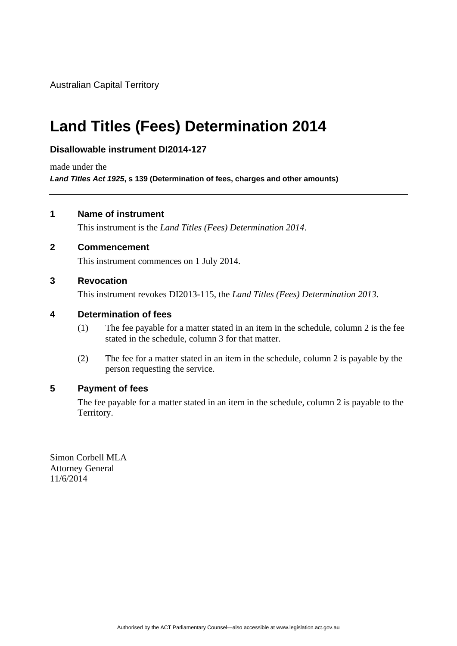Australian Capital Territory

# **Land Titles (Fees) Determination 2014**

### **Disallowable instrument DI2014-127**

made under the

*Land Titles Act 1925***, s 139 (Determination of fees, charges and other amounts)** 

#### **1 Name of instrument**

This instrument is the *Land Titles (Fees) Determination 2014*.

#### **2 Commencement**

This instrument commences on 1 July 2014.

#### **3 Revocation**

This instrument revokes DI2013-115, the *Land Titles (Fees) Determination 2013*.

#### **4 Determination of fees**

- (1) The fee payable for a matter stated in an item in the schedule, column 2 is the fee stated in the schedule, column 3 for that matter.
- (2) The fee for a matter stated in an item in the schedule, column 2 is payable by the person requesting the service.

#### **5 Payment of fees**

The fee payable for a matter stated in an item in the schedule, column 2 is payable to the Territory.

Simon Corbell MLA Attorney General 11/6/2014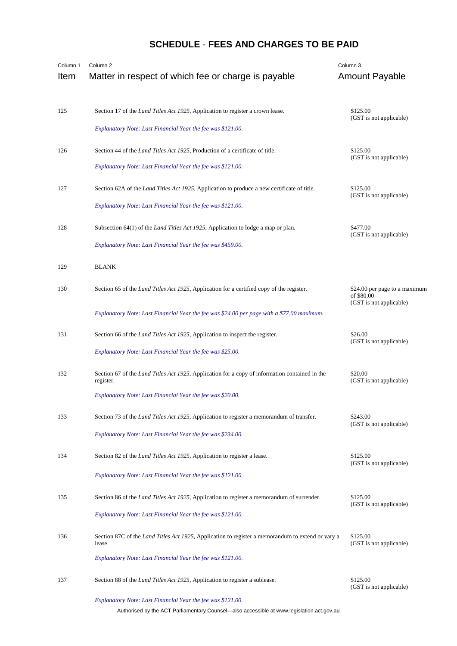## **SCHEDULE** - **FEES AND CHARGES TO BE PAID**

| Column 1<br>Item | Column <sub>2</sub><br>Matter in respect of which fee or charge is payable                                                                                         | Column <sub>3</sub><br><b>Amount Payable</b> |
|------------------|--------------------------------------------------------------------------------------------------------------------------------------------------------------------|----------------------------------------------|
| 125              | Section 17 of the <i>Land Titles Act 1925</i> , Application to register a crown lease.<br>Explanatory Note: Last Financial Year the fee was \$121.00.              | \$125.00<br>(GST is not applicable)          |
| 126              | Section 44 of the Land Titles Act 1925, Production of a certificate of title.<br>Explanatory Note: Last Financial Year the fee was \$121.00.                       | \$125.00<br>(GST is not applicable)          |
| 127              | Section 62A of the <i>Land Titles Act 1925</i> , Application to produce a new certificate of title.<br>Explanatory Note: Last Financial Year the fee was \$121.00. | \$125.00<br>(GST is not applicable)          |
| 128              | Subsection 64(1) of the <i>Land Titles Act 1925</i> , Application to lodge a map or plan.<br>Explanatory Note: Last Financial Year the fee was \$459.00.           | \$477.00<br>(GST is not applicable)          |
| 129              | <b>BLANK</b>                                                                                                                                                       |                                              |
| 130              | Section 65 of the <i>Land Titles Act 1925</i> , Application for a certified copy of the register.                                                                  | \$24.00 per page to a maximum<br>of \$80.00  |
|                  | Explanatory Note: Last Financial Year the fee was \$24.00 per page with a \$77.00 maximum.                                                                         | (GST is not applicable)                      |
| 131              | Section 66 of the <i>Land Titles Act 1925</i> , Application to inspect the register.                                                                               | \$26.00<br>(GST is not applicable)           |
|                  | Explanatory Note: Last Financial Year the fee was \$25.00.                                                                                                         |                                              |
| 132              | Section 67 of the <i>Land Titles Act 1925</i> , Application for a copy of information contained in the<br>register.                                                | \$20.00<br>(GST is not applicable)           |
|                  | Explanatory Note: Last Financial Year the fee was \$20.00.                                                                                                         |                                              |
| 133              | Section 73 of the <i>Land Titles Act 1925</i> , Application to register a memorandum of transfer.                                                                  | \$243.00<br>(GST is not applicable)          |
|                  | Explanatory Note: Last Financial Year the fee was \$234.00.                                                                                                        |                                              |
| 134              | Section 82 of the <i>Land Titles Act 1925</i> , Application to register a lease.                                                                                   | \$125.00<br>(GST is not applicable)          |
|                  | Explanatory Note: Last Financial Year the fee was \$121.00.                                                                                                        |                                              |
| 135              | Section 86 of the <i>Land Titles Act 1925</i> , Application to register a memorandum of surrender.                                                                 | \$125.00<br>(GST is not applicable)          |
|                  | Explanatory Note: Last Financial Year the fee was \$121.00.                                                                                                        |                                              |
| 136              | Section 87C of the <i>Land Titles Act 1925</i> , Application to register a memorandum to extend or vary a<br>lease.                                                | \$125.00<br>(GST is not applicable)          |
|                  | Explanatory Note: Last Financial Year the fee was \$121.00.                                                                                                        |                                              |
| 137              | Section 88 of the <i>Land Titles Act 1925</i> , Application to register a sublease.                                                                                | \$125.00<br>(GST is not applicable)          |
|                  | Explanatory Note: Last Financial Year the fee was \$121.00.                                                                                                        |                                              |

Authorised by the ACT Parliamentary Counsel—also accessible at www.legislation.act.gov.au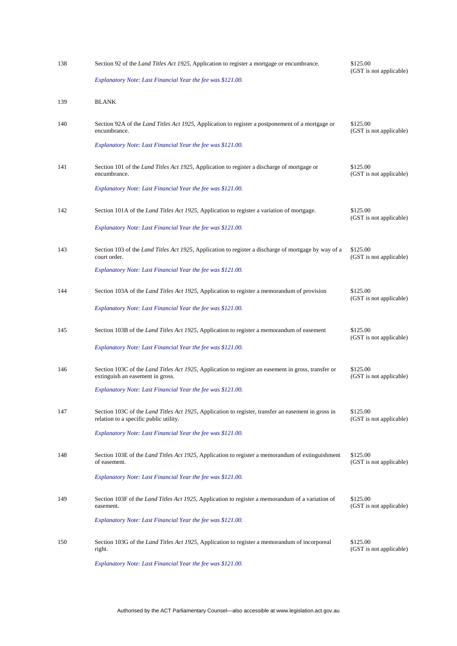| 138 | Section 92 of the <i>Land Titles Act 1925</i> , Application to register a mortgage or encumbrance.                                                    | \$125.00<br>(GST is not applicable) |
|-----|-------------------------------------------------------------------------------------------------------------------------------------------------------|-------------------------------------|
|     | Explanatory Note: Last Financial Year the fee was \$121.00.                                                                                           |                                     |
| 139 | <b>BLANK</b>                                                                                                                                          |                                     |
| 140 | Section 92A of the Land Titles Act 1925, Application to register a postponement of a mortgage or<br>encumbrance.                                      | \$125.00<br>(GST is not applicable) |
|     | Explanatory Note: Last Financial Year the fee was \$121.00.                                                                                           |                                     |
| 141 | Section 101 of the <i>Land Titles Act 1925</i> , Application to register a discharge of mortgage or<br>encumbrance.                                   | \$125.00<br>(GST is not applicable) |
|     | Explanatory Note: Last Financial Year the fee was \$121.00.                                                                                           |                                     |
| 142 | Section 101A of the <i>Land Titles Act 1925</i> , Application to register a variation of mortgage.                                                    | \$125.00<br>(GST is not applicable) |
|     | Explanatory Note: Last Financial Year the fee was \$121.00.                                                                                           |                                     |
| 143 | Section 103 of the <i>Land Titles Act 1925</i> , Application to register a discharge of mortgage by way of a<br>court order.                          | \$125.00<br>(GST is not applicable) |
|     | Explanatory Note: Last Financial Year the fee was \$121.00.                                                                                           |                                     |
| 144 | Section 103A of the <i>Land Titles Act 1925</i> , Application to register a memorandum of provision                                                   | \$125.00<br>(GST is not applicable) |
|     | Explanatory Note: Last Financial Year the fee was \$121.00.                                                                                           |                                     |
| 145 | Section 103B of the <i>Land Titles Act 1925</i> , Application to register a memorandum of easement                                                    | \$125.00<br>(GST is not applicable) |
|     | Explanatory Note: Last Financial Year the fee was \$121.00.                                                                                           |                                     |
| 146 | Section 103C of the Land Titles Act 1925, Application to register an easement in gross, transfer or<br>extinguish an easement in gross.               | \$125.00<br>(GST is not applicable) |
|     | Explanatory Note: Last Financial Year the fee was \$121.00.                                                                                           |                                     |
| 147 | Section 103C of the <i>Land Titles Act 1925</i> , Application to register, transfer an easement in gross in<br>relation to a specific public utility. | \$125.00<br>(GST is not applicable) |
|     | Explanatory Note: Last Financial Year the fee was \$121.00.                                                                                           |                                     |
| 148 | Section 103E of the <i>Land Titles Act 1925</i> , Application to register a memorandum of extinguishment<br>of easement.                              | \$125.00<br>(GST is not applicable) |
|     | Explanatory Note: Last Financial Year the fee was \$121.00.                                                                                           |                                     |
| 149 | Section 103F of the <i>Land Titles Act 1925</i> , Application to register a memorandum of a variation of<br>easement.                                 | \$125.00<br>(GST is not applicable) |
|     | Explanatory Note: Last Financial Year the fee was \$121.00.                                                                                           |                                     |
| 150 | Section 103G of the <i>Land Titles Act 1925</i> , Application to register a memorandum of incorporeal<br>right.                                       | \$125.00<br>(GST is not applicable) |
|     | Explanatory Note: Last Financial Year the fee was \$121.00.                                                                                           |                                     |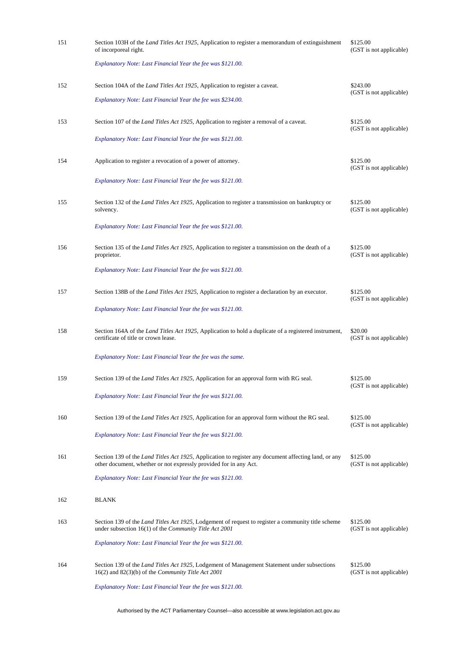| 151 | Section 103H of the <i>Land Titles Act 1925</i> , Application to register a memorandum of extinguishment<br>of incorporeal right.                                         | \$125.00<br>(GST is not applicable) |
|-----|---------------------------------------------------------------------------------------------------------------------------------------------------------------------------|-------------------------------------|
|     | Explanatory Note: Last Financial Year the fee was \$121.00.                                                                                                               |                                     |
| 152 | Section 104A of the <i>Land Titles Act 1925</i> , Application to register a caveat.                                                                                       | \$243.00<br>(GST is not applicable) |
|     | Explanatory Note: Last Financial Year the fee was \$234.00.                                                                                                               |                                     |
| 153 | Section 107 of the Land Titles Act 1925, Application to register a removal of a caveat.                                                                                   | \$125.00<br>(GST is not applicable) |
|     | Explanatory Note: Last Financial Year the fee was \$121.00.                                                                                                               |                                     |
| 154 | Application to register a revocation of a power of attorney.                                                                                                              | \$125.00<br>(GST is not applicable) |
|     | Explanatory Note: Last Financial Year the fee was \$121.00.                                                                                                               |                                     |
| 155 | Section 132 of the <i>Land Titles Act 1925</i> , Application to register a transmission on bankruptcy or<br>solvency.                                                     | \$125.00<br>(GST is not applicable) |
|     | Explanatory Note: Last Financial Year the fee was \$121.00.                                                                                                               |                                     |
| 156 | Section 135 of the <i>Land Titles Act 1925</i> , Application to register a transmission on the death of a<br>proprietor.                                                  | \$125.00<br>(GST is not applicable) |
|     | Explanatory Note: Last Financial Year the fee was \$121.00.                                                                                                               |                                     |
| 157 | Section 138B of the <i>Land Titles Act 1925</i> , Application to register a declaration by an executor.                                                                   | \$125.00<br>(GST is not applicable) |
|     | Explanatory Note: Last Financial Year the fee was \$121.00.                                                                                                               |                                     |
| 158 | Section 164A of the <i>Land Titles Act 1925</i> , Application to hold a duplicate of a registered instrument,<br>certificate of title or crown lease.                     | \$20.00<br>(GST is not applicable)  |
|     | Explanatory Note: Last Financial Year the fee was the same.                                                                                                               |                                     |
| 159 | Section 139 of the Land Titles Act 1925, Application for an approval form with RG seal.                                                                                   | \$125.00<br>(GST is not applicable) |
|     | Explanatory Note: Last Financial Year the fee was \$121.00.                                                                                                               |                                     |
| 160 | Section 139 of the <i>Land Titles Act 1925</i> , Application for an approval form without the RG seal.                                                                    | \$125.00<br>(GST is not applicable) |
|     | Explanatory Note: Last Financial Year the fee was \$121.00.                                                                                                               |                                     |
| 161 | Section 139 of the Land Titles Act 1925, Application to register any document affecting land, or any<br>other document, whether or not expressly provided for in any Act. | \$125.00<br>(GST is not applicable) |
|     | Explanatory Note: Last Financial Year the fee was \$121.00.                                                                                                               |                                     |
| 162 | <b>BLANK</b>                                                                                                                                                              |                                     |
| 163 | Section 139 of the <i>Land Titles Act 1925</i> , Lodgement of request to register a community title scheme<br>under subsection $16(1)$ of the Community Title Act 2001    | \$125.00<br>(GST is not applicable) |
|     | Explanatory Note: Last Financial Year the fee was \$121.00.                                                                                                               |                                     |
| 164 | Section 139 of the <i>Land Titles Act 1925</i> , Lodgement of Management Statement under subsections<br>$16(2)$ and $82(3)(b)$ of the <i>Community Title Act 2001</i>     | \$125.00<br>(GST is not applicable) |
|     | Explanatory Note: Last Financial Year the fee was \$121.00.                                                                                                               |                                     |

Authorised by the ACT Parliamentary Counsel—also accessible at www.legislation.act.gov.au